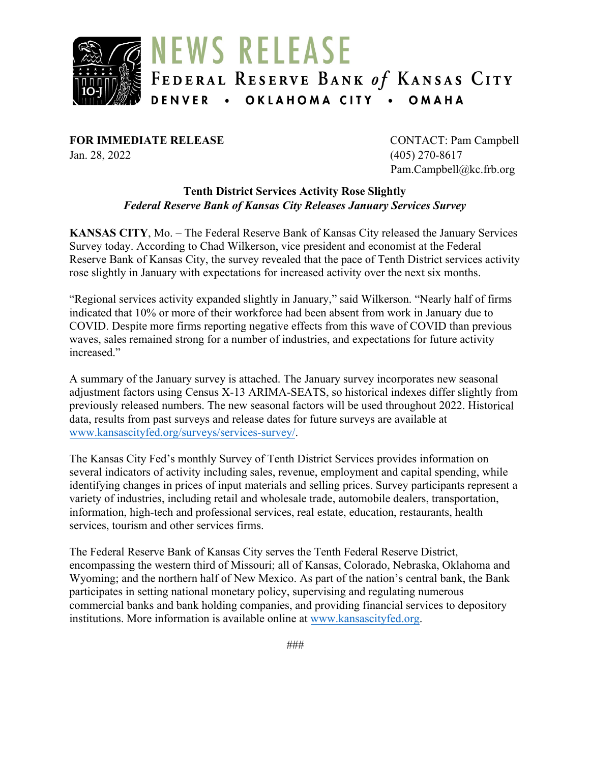

**FOR IMMEDIATE RELEASE** CONTACT: Pam Campbell Jan. 28, 2022 (405) 270-8617

Pam.Campbell@kc.frb.org

#### **Tenth District Services Activity Rose Slightly** *Federal Reserve Bank of Kansas City Releases January Services Survey*

**KANSAS CITY**, Mo. – The Federal Reserve Bank of Kansas City released the January Services Survey today. According to Chad Wilkerson, vice president and economist at the Federal Reserve Bank of Kansas City, the survey revealed that the pace of Tenth District services activity rose slightly in January with expectations for increased activity over the next six months.

"Regional services activity expanded slightly in January," said Wilkerson. "Nearly half of firms indicated that 10% or more of their workforce had been absent from work in January due to COVID. Despite more firms reporting negative effects from this wave of COVID than previous waves, sales remained strong for a number of industries, and expectations for future activity increased."

A summary of the January survey is attached. The January survey incorporates new seasonal adjustment factors using Census X-13 ARIMA-SEATS, so historical indexes differ slightly from previously released numbers. The new seasonal factors will be used throughout 2022. Historical data, results from past surveys and release dates for future surveys are available at [www.kansascityfed.org/surveys/services-survey/.](https://www.kansascityfed.org/surveys/services-survey/)

The Kansas City Fed's monthly Survey of Tenth District Services provides information on several indicators of activity including sales, revenue, employment and capital spending, while identifying changes in prices of input materials and selling prices. Survey participants represent a variety of industries, including retail and wholesale trade, automobile dealers, transportation, information, high-tech and professional services, real estate, education, restaurants, health services, tourism and other services firms.

The Federal Reserve Bank of Kansas City serves the Tenth Federal Reserve District, encompassing the western third of Missouri; all of Kansas, Colorado, Nebraska, Oklahoma and Wyoming; and the northern half of New Mexico. As part of the nation's central bank, the Bank participates in setting national monetary policy, supervising and regulating numerous commercial banks and bank holding companies, and providing financial services to depository institutions. More information is available online at [www.kansascityfed.org.](http://www.kansascityfed.org/)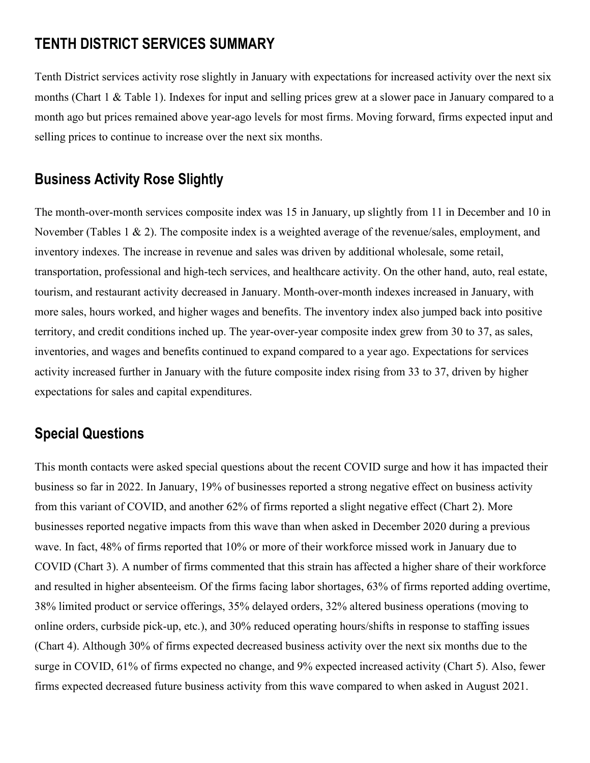# **TENTH DISTRICT SERVICES SUMMARY**

Tenth District services activity rose slightly in January with expectations for increased activity over the next six months (Chart 1 & Table 1). Indexes for input and selling prices grew at a slower pace in January compared to a month ago but prices remained above year-ago levels for most firms. Moving forward, firms expected input and selling prices to continue to increase over the next six months.

## **Business Activity Rose Slightly**

The month-over-month services composite index was 15 in January, up slightly from 11 in December and 10 in November (Tables 1 & 2). The composite index is a weighted average of the revenue/sales, employment, and inventory indexes. The increase in revenue and sales was driven by additional wholesale, some retail, transportation, professional and high-tech services, and healthcare activity. On the other hand, auto, real estate, tourism, and restaurant activity decreased in January. Month-over-month indexes increased in January, with more sales, hours worked, and higher wages and benefits. The inventory index also jumped back into positive territory, and credit conditions inched up. The year-over-year composite index grew from 30 to 37, as sales, inventories, and wages and benefits continued to expand compared to a year ago. Expectations for services activity increased further in January with the future composite index rising from 33 to 37, driven by higher expectations for sales and capital expenditures.

# **Special Questions**

This month contacts were asked special questions about the recent COVID surge and how it has impacted their business so far in 2022. In January, 19% of businesses reported a strong negative effect on business activity from this variant of COVID, and another 62% of firms reported a slight negative effect (Chart 2). More businesses reported negative impacts from this wave than when asked in December 2020 during a previous wave. In fact, 48% of firms reported that 10% or more of their workforce missed work in January due to COVID (Chart 3). A number of firms commented that this strain has affected a higher share of their workforce and resulted in higher absenteeism. Of the firms facing labor shortages, 63% of firms reported adding overtime, 38% limited product or service offerings, 35% delayed orders, 32% altered business operations (moving to online orders, curbside pick-up, etc.), and 30% reduced operating hours/shifts in response to staffing issues (Chart 4). Although 30% of firms expected decreased business activity over the next six months due to the surge in COVID, 61% of firms expected no change, and 9% expected increased activity (Chart 5). Also, fewer firms expected decreased future business activity from this wave compared to when asked in August 2021.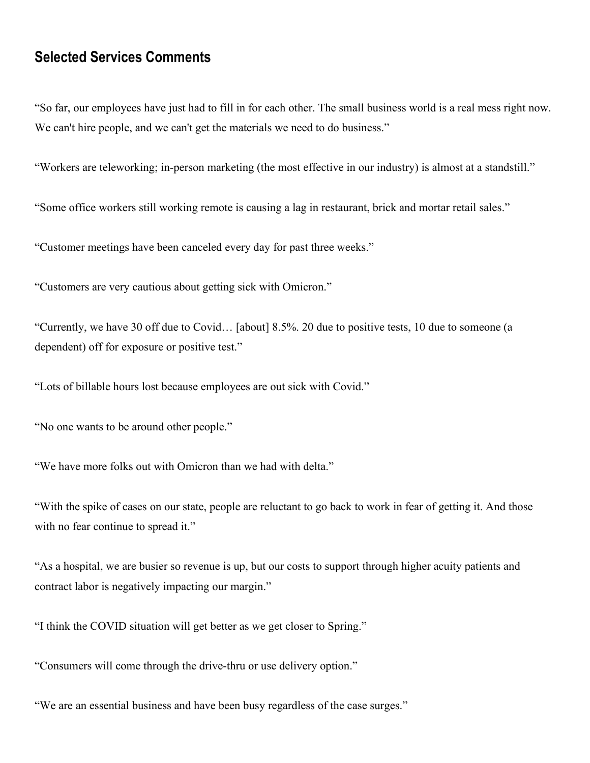## **Selected Services Comments**

"So far, our employees have just had to fill in for each other. The small business world is a real mess right now. We can't hire people, and we can't get the materials we need to do business."

"Workers are teleworking; in-person marketing (the most effective in our industry) is almost at a standstill."

"Some office workers still working remote is causing a lag in restaurant, brick and mortar retail sales."

"Customer meetings have been canceled every day for past three weeks."

"Customers are very cautious about getting sick with Omicron."

"Currently, we have 30 off due to Covid… [about] 8.5%. 20 due to positive tests, 10 due to someone (a dependent) off for exposure or positive test."

"Lots of billable hours lost because employees are out sick with Covid."

"No one wants to be around other people."

"We have more folks out with Omicron than we had with delta."

"With the spike of cases on our state, people are reluctant to go back to work in fear of getting it. And those with no fear continue to spread it."

"As a hospital, we are busier so revenue is up, but our costs to support through higher acuity patients and contract labor is negatively impacting our margin."

"I think the COVID situation will get better as we get closer to Spring."

"Consumers will come through the drive-thru or use delivery option."

"We are an essential business and have been busy regardless of the case surges."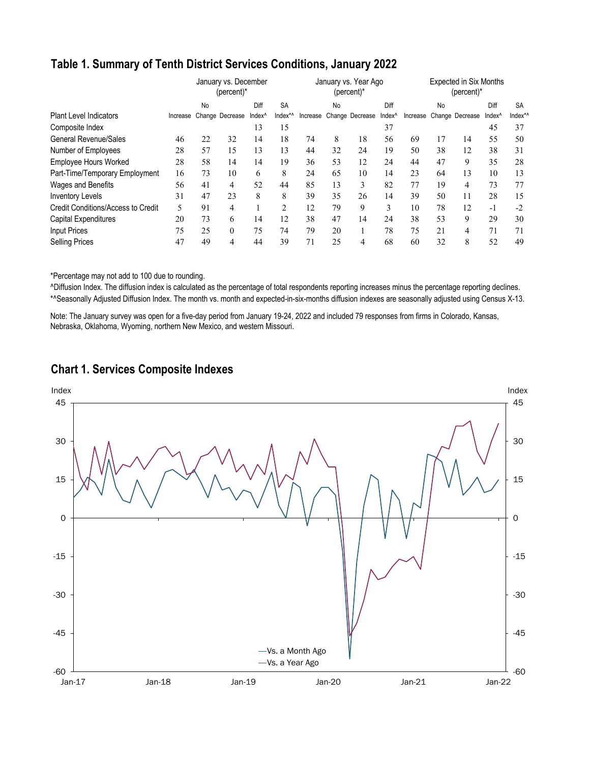### **Table 1. Summary of Tenth District Services Conditions, January 2022**

|                                    |          | January vs. December<br>(percent)* |                  | January vs. Year Ago<br>(percent)* |                |          |    | <b>Expected in Six Months</b><br>$(percent)^*$ |                    |    |    |                          |                    |           |
|------------------------------------|----------|------------------------------------|------------------|------------------------------------|----------------|----------|----|------------------------------------------------|--------------------|----|----|--------------------------|--------------------|-----------|
|                                    |          | No                                 |                  | Diff                               | <b>SA</b>      |          | No |                                                | Diff               |    | No |                          | Diff               | <b>SA</b> |
| <b>Plant Level Indicators</b>      | Increase |                                    | Change Decrease  | Index <sup>^</sup>                 | Index*^        | Increase |    | Change Decrease                                | Index <sup>^</sup> |    |    | Increase Change Decrease | Index <sup>^</sup> | Index*/   |
| Composite Index                    |          |                                    |                  | 13                                 | 15             |          |    |                                                | 37                 |    |    |                          | 45                 | 37        |
| <b>General Revenue/Sales</b>       | 46       | 22                                 | 32               | 14                                 | 18             | 74       | 8  | 18                                             | 56                 | 69 | 17 | 14                       | 55                 | 50        |
| Number of Employees                | 28       | 57                                 | 15               | 13                                 | 13             | 44       | 32 | 24                                             | 19                 | 50 | 38 | 12                       | 38                 | 31        |
| <b>Employee Hours Worked</b>       | 28       | 58                                 | 14               | 14                                 | 19             | 36       | 53 | 12                                             | 24                 | 44 | 47 | 9                        | 35                 | 28        |
| Part-Time/Temporary Employment     | 16       | 73                                 | 10               | 6                                  | 8              | 24       | 65 | 10                                             | 14                 | 23 | 64 | 13                       | 10                 | 13        |
| Wages and Benefits                 | 56       | 41                                 | 4                | 52                                 | 44             | 85       | 13 | 3                                              | 82                 | 77 | 19 | 4                        | 73                 | 77        |
| <b>Inventory Levels</b>            | 31       | 47                                 | 23               | 8                                  | 8              | 39       | 35 | 26                                             | 14                 | 39 | 50 | 11                       | 28                 | 15        |
| Credit Conditions/Access to Credit | 5        | 91                                 | 4                |                                    | $\overline{c}$ | 12       | 79 | 9                                              | 3                  | 10 | 78 | 12                       | -1                 | $-2$      |
| Capital Expenditures               | 20       | 73                                 | 6                | 14                                 | 12             | 38       | 47 | 14                                             | 24                 | 38 | 53 | 9                        | 29                 | 30        |
| <b>Input Prices</b>                | 75       | 25                                 | $\boldsymbol{0}$ | 75                                 | 74             | 79       | 20 |                                                | 78                 | 75 | 21 | 4                        | 71                 | 71        |
| <b>Selling Prices</b>              | 47       | 49                                 | 4                | 44                                 | 39             | 71       | 25 | 4                                              | 68                 | 60 | 32 | 8                        | 52                 | 49        |

\*Percentage may not add to 100 due to rounding.

^Diffusion Index. The diffusion index is calculated as the percentage of total respondents reporting increases minus the percentage reporting declines. \*^Seasonally Adjusted Diffusion Index. The month vs. month and expected-in-six-months diffusion indexes are seasonally adjusted using Census X-13.

Note: The January survey was open for a five-day period from January 19-24, 2022 and included 79 responses from firms in Colorado, Kansas, Nebraska, Oklahoma, Wyoming, northern New Mexico, and western Missouri.



### **Chart 1. Services Composite Indexes**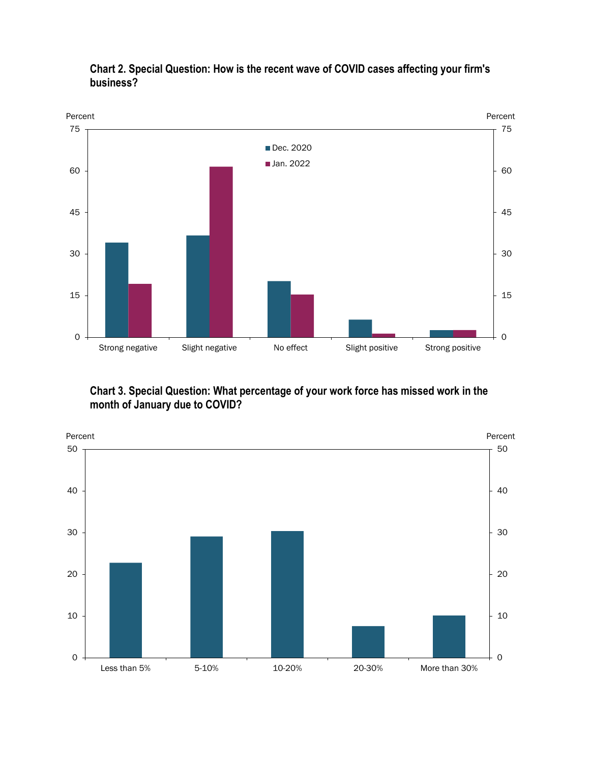

#### **Chart 2. Special Question: How is the recent wave of COVID cases affecting your firm's business?**

**Chart 3. Special Question: What percentage of your work force has missed work in the month of January due to COVID?**

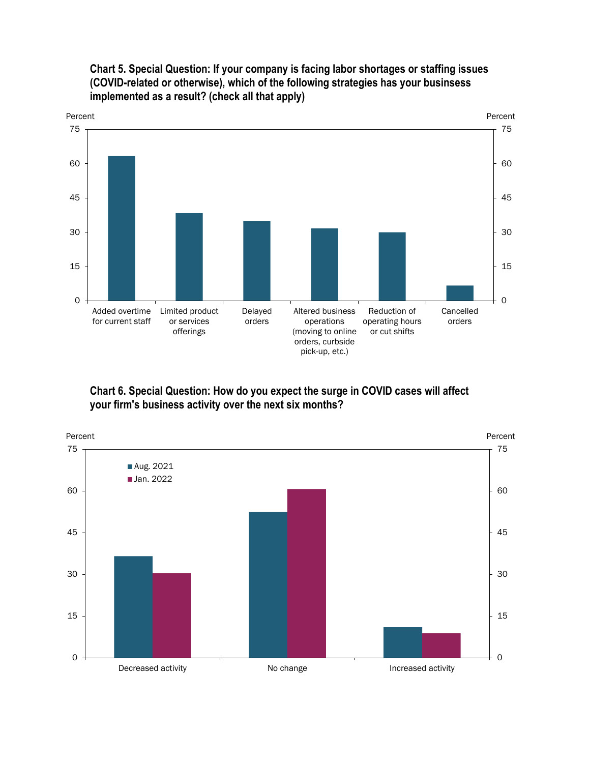

**Chart 5. Special Question: If your company is facing labor shortages or staffing issues (COVID-related or otherwise), which of the following strategies has your businsess implemented as a result? (check all that apply)**

**Chart 6. Special Question: How do you expect the surge in COVID cases will affect your firm's business activity over the next six months?**